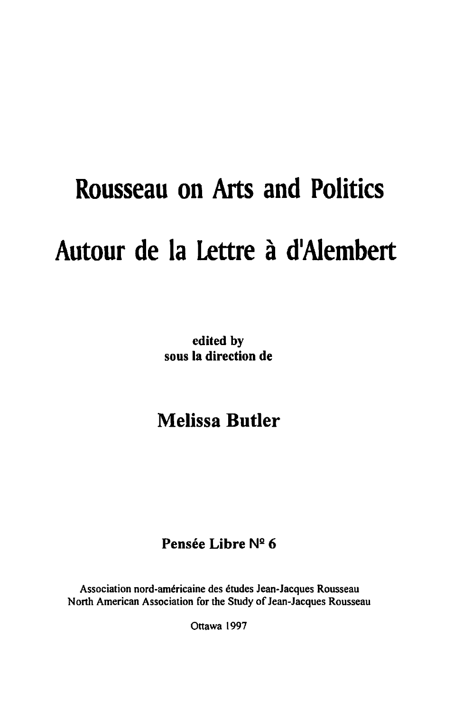## **Rousseau on Arts and Politics**  Autour de la Lettre à d'Alembert

edited by sous la direction de

## Melissa **Butler**

## Pensée Libre Nº 6

Association nord-americaine des etudes Jean-Jacques Rousseau North American Association for the Study of Jean-Jacques Rousseau

Ottawa 1997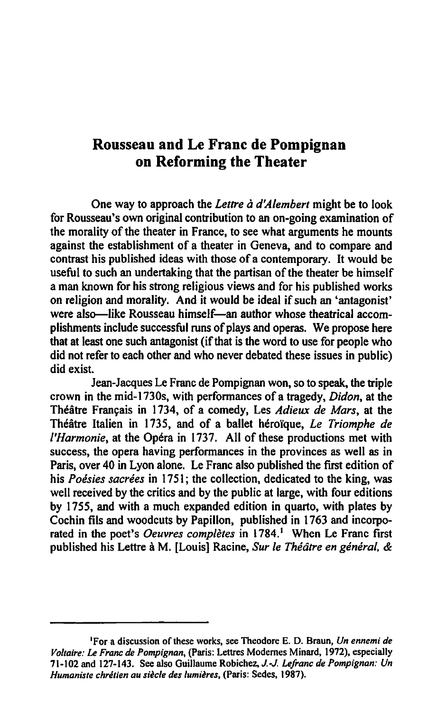## Rousseau and Le Franc de Pompignan on Reforming the Theater

One way to approach the *Lettre a d'Alembert* might be to look for Rousseau's own original contribution to an on-going examination of the morality of the theater in France, to see what arguments he mounts against the establishment of a theater in Geneva, and to compare and contrast his published ideas with those of a contemporary. It would be useful to such an undertaking that the partisan of the theater be himself a man known for his strong religious views and for his published works on religion and morality. And it would be ideal if such an 'antagonist' were also-like Rousseau himself-an author whose theatrical accomplishments include successful runs of plays and operas. We propose here that at least one such antagonist (if that is the word to use for people who did not refer to each other and who never debated these issues in public) did exist.

Jean-Jacques Le Franc de Pompignan won. so to speak, the triple crown in the mid-I 730s, with performances of a tragedy. *Didon,* at the Théâtre Français in 1734, of a comedy, Les *Adieux de Mars*, at the Theatre Italien in 1735, and of a ballet herorque. *Le Triomphe de I'Harmonie*, at the Opéra in 1737. All of these productions met with success. the opera having performances in the provinces as well as in Paris, over 40 in Lyon alone. Le Franc also published the first edition of his *Poésies sacrées* in 1751; the collection, dedicated to the king, was well received by the critics and by the public at large, with four editions by 1755, and with a much expanded edition in quarto, with plates by Cochin fils and woodcuts by Papillon, published in 1763 and incorporated in the poet's *Oeuvres complètes* in 1784.<sup>1</sup> When Le Franc first published his Lettre à M. [Louis] Racine, Sur le Théâtre en général, &

<sup>&#</sup>x27;For a discussion of these works, see Theodore E. D. Braun. *Un ennemi de Voltaire:* Le *Franc de Pompignan,* (paris: Lettres Modemes Minard, 1972). especially 71-102 and 127-143. See also GuiIIaume Robichez, *J.-J. LeJranc de Pompignan: Un Humaniste chretien au siecie des lumieres,* (Paris: Sedes, 1987).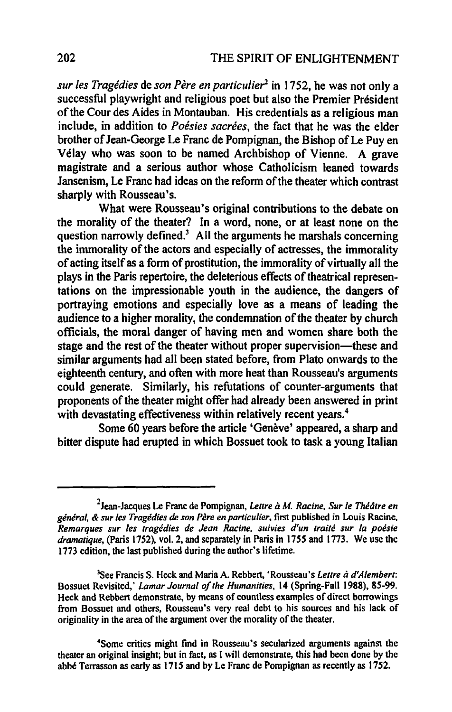*sur les Tragédies de son Père en particulier*<sup>2</sup> in 1752, he was not only a successful playwright and religious poet but also the Premier President of the Cour des Aides in Montauban. His credentials as a religious man include, in addition to *Poésies sacrées*, the fact that he was the elder brother of Jean-George Le Franc de Pompignan, the Bishop of Le Puy en Velay who was soon to be named Archbishop of Vienne. A grave magistrate and a serious author whose Catholicism leaned towards Jansenism, Le Franc had ideas on the reform of the theater which contrast sharply with Rousseau's.

What were Rousseau's original contributions to the debate on the morality of the theater? In a word, none, or at least none on the question narrowly defined.<sup>3</sup> All the arguments he marshals concerning the immorality of the actors and especially of actresses, the immorality of acting itself as a form of prostitution, the immorality of virtually all the plays in the Paris repertoire, the deleterious effects of theatrical representations on the impressionable youth in the audience, the dangers of portraying emotions and especially love as a means of leading the audience to a higher morality, the condemnation of the theater by church officials, the moral danger of having men and women share both the stage and the rest of the theater without proper supervision—these and similar arguments had all been stated before, from Plato onwards to the eighteenth century, and often with more heat than Rousseau's arguments could generate. Similarly, his refutations of counter-arguments that proponents of the theater might offer had already been answered in print with devastating effectiveness within relatively recent years.<sup>4</sup>

Some 60 years before the article 'Genève' appeared, a sharp and bitter dispute had erupted in which Bossuet took to task a young Italian

<sup>2</sup>Jean-Jacques Le Franc de Pompignan, *Lettre a* M. *Racine. Sur Ie Theatre en*  general, & sur les Tragedies de son Père en particulier, first published in Louis Racine, *Remarques sur les tragedies de Jean Racine. suivies d'un traile sur la poesie dramatique,* (Paris 1752), vol. 2, and separately in Paris in 1755 and 1773. We use the 1713 edition, the last published during the author's lifetime.

<sup>&</sup>lt;sup>3</sup>See Francis S. Heck and Maria A. Rebbert, 'Rousseau's *Lettre à d'Alembert*: Bossuet Revisited,' *Lamar Journal o/the Humanities,* 14 (Spring-Fall 1988), 85-99. Heck and Rebbert demonstrate, by means of countless examples of direct borrowings from Bossuet and others, Rousseau's very real debt to his sources and his lack of originality in the area of the argument over the morality of the theater.

<sup>&</sup>lt;sup>4</sup>Some critics might find in Rousseau's secularized arguments against the theater an original insight; but in fact, as I will demonstrate, this had been done by the abbe Terrasson as early as 1715 and by Le Franc de Pompignan as recently as 1752.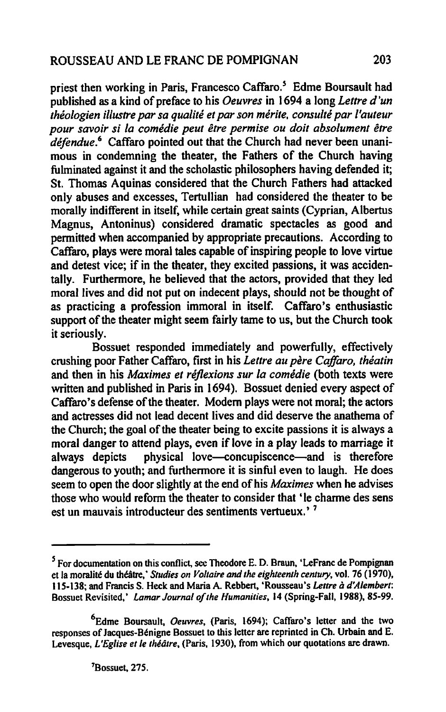priest then working in Paris, Francesco Caffaro.<sup>5</sup> Edme Boursault had published as a kind of preface to his *Oeuvres* in 1694 a long *Lettre d 'un théologien illustre par sa qualité et par son mérite, consulté par l'auteur* pour savoir si la comédie peut être permise ou doit absolument être *dejendue.6* Caffaro pointed out that the Church had never been unanimous in condemning the theater, the Fathers of the Church having fulminated against it and the scholastic philosophers having defended it; St. Thomas Aquinas considered that the Church Fathers had attacked only abuses and excesses, Tertullian had considered the theater to be morally indifferent in itself. while certain great saints (Cyprian, Albertus Magnus, Antoninus) considered dramatic spectacles as good and permitted when accompanied by appropriate precautions. According to Caffaro, plays were moral tales capable of inspiring people to love virtue and detest vice; if in the theater, they excited passions, it was accidentally. Furthermore, he believed that the actors, provided that they led moral lives and did not put on indecent plays, should not be thought of as practicing a profession immoral in itself. Caffaro's enthusiastic support of the theater might seem fairly tame to us, but the Church took it seriously.

Bossuet responded immediately and powerfully, effectively crushing poor Father Caffaro, first in his *Letlre au pere Caffaro. theatin*  and then in his *Maximes et reflexions sur la comedie* (both texts were written and published in Paris in 1694). Bossuet denied every aspect of Caffaro's defense of the theater. Modem plays were not moral; the actors and actresses did not lead decent lives and did deserve the anathema of the Church; the goal of the theater being to excite passions it is always a moral danger to attend plays, even if love in a play leads to marriage it always depicts physical love-concupiscence-and is therefore dangerous to youth; and furthermore it is sinful even to laugh. He does seem to open the door slightly at the end of his *Maximes* when he advises those who would reform the theater to consider that 'Ie charme des sens est un mauvais introducteur des sentiments vertueux.' 7

*S* For documentation on this conflict, see Theodore E. D. Braun. 'LeFranc de Pompignan et la moralité du théâtre,' *Studies on Voltaire and the eighteenth century*, vol. 76 (1970), IIS-138; and Francis S. Heck and Maria A. Rebbert, 'Rousseau's *I.eIITe a d'Alembert:*  Bossuet Revisited,' *Lamar Journal of the Humanities,* 14 (Spring-Fall, 1988), *8S-99.* 

<sup>&</sup>lt;sup>6</sup>Edme Boursault, *Oeuvres*, (Paris, 1694); Caffaro's letter and the two responses of Jacques-Bénigne Bossuet to this letter are reprinted in Ch. Urbain and E. Levesque, *L 'Eglise et Ie thidtre,* (Paris, 1930). from which our quotations are drawn.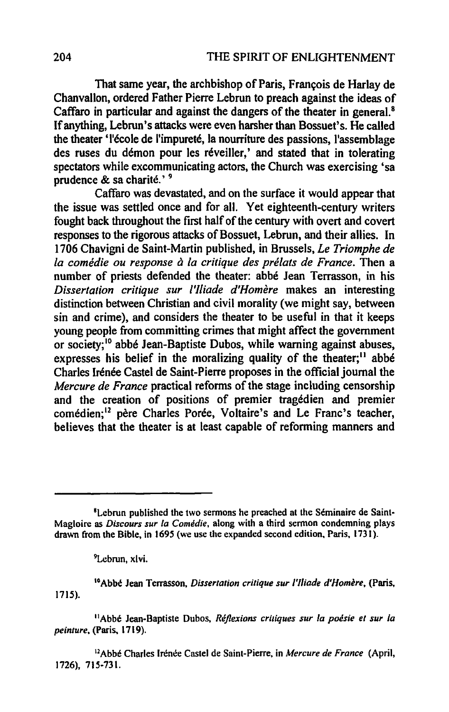That same year, the archbishop of Paris, François de Harlay de Chanvallon, ordered Father Pierre Lebrun to preach against the ideas of Caffaro in particular and against the dangers of the theater in general.<sup>8</sup> If anything, Lebrun's attacks were even harsher than Bossuet's. He called the theater 'l'ecole de I'impurete, la nourriture des passions, l'assemblage des ruses du démon pour les réveiller,' and stated that in tolerating spectators while excommunicating actors, the Church was exercising 'sa prudence & sa charité.'<sup>9</sup>

Caffaro was devastated, and on the surface it would appear that the issue was settled once and for all. Yet eighteenth-century writers fought back throughout the first half of the century with overt and covert responses to the rigorous attacks of Bossuet, Lebrun, and their allies. In 1706 Chavigni de Saint-Martin published, in Brussels, *Le Triomphe de La comedie ou response a La critique des preLats de France.* Then a number of priests defended the theater: abbe Jean Terrasson, in his *Dissertation critique sur ['Jliade d'Homere* makes an interesting distinction between Christian and civil morality (we might say, between sin and crime), and considers the theater to be useful in that it keeps young people from committing crimes that might affect the government or society;<sup>10</sup> abbé Jean-Baptiste Dubos, while warning against abuses, expresses his belief in the moralizing quality of the theater; $<sup>11</sup>$  abbe</sup> Charles Irénée Castel de Saint-Pierre proposes in the official journal the *Mercure de France* practical reforms of the stage including censorship and the creation of positions of premier tragedien and premier comédien;<sup>12</sup> père Charles Porée, Voltaire's and Le Franc's teacher, believes that the theater is at least capable of reforming manners and

'GAbbe Jean Terrasson, *Dissertation critique sur I'lliade d'Homere,* (Paris, 1715).

I1Abbe Jean-Baptiste Dubos, *Reflexions critiques sur /a poesie et sur /a peinture,* (Paris, 1719).

<sup>12</sup>Abbé Charles Irénée Castel de Saint-Pierre, in *Mercure de France* (April, 1726), 715-731.

<sup>&</sup>lt;sup>8</sup> Lebrun published the two sermons he preached at the Séminaire de Saint-Magloire as *Discours sur /a Comedie,* along with a third sermon condemning plays drawn from the Bible, in 1695 (we use the expanded second edition. Paris. 1731).

<sup>9</sup>Lebrun, xlvi.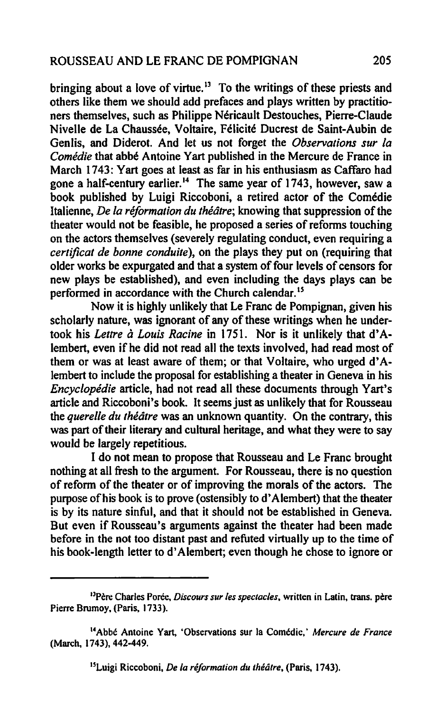bringing about a love of virtue.<sup>13</sup> To the writings of these priests and others like them we should add prefaces and plays written by practitioners themselves, such as Philippe Nericault Destouches, Pierre-Claude Nivelle de La Chaussee, Voltaire, Felicite Ducrest de Saint-Aubin de Genlis, and Diderot. And let us not forget the *Observations sur fa Comedie* that abbe Antoine Yart published in the Mercure de France in March 1743: Yart goes at least as far in his enthusiasm as Caffaro had gone a half-century earlier.<sup>14</sup> The same year of 1743, however, saw a book published by Luigi Riccoboni, a retired actor of the Comedie ltalienne, *De fa reformation du thealre;* knowing that suppression of the theater would not be feasible, he proposed a series of reforms touching on the actors themselves (severely regulating conduct, even requiring a *certificat de bonne conduite),* on the plays they put on (requiring that older works be expurgated and that a system of four levels of censors for new plays be established), and even including the days plays can be performed in accordance with the Church calendar.<sup>15</sup>

Now it is highly unlikely that Le Franc de Pompignan, given his scholarly nature, was ignorant of any of these writings when he undertook his *Letlre* a *Louis Racine* in 1751. Nor is it unlikely that d'Alembert, even if he did not read all the texts involved, had read most of them or was at least aware of them; or that Voltaire, who urged d' Alembert to include the proposal for establishing a theater in Geneva in his *Encyclopedie* article, had not read all these documents through Yart's article and Riccoboni's book. It seems just as unlikely that for Rousseau the *querelle du théâtre* was an unknown quantity. On the contrary, this was part of their literary and cultural heritage, and what they were to say would be largely repetitious.

I do not mean to propose that Rousseau and Le Franc brought nothing at all fresh to the argument. For Rousseau, there is no question of reform of the theater or of improving the morals of the actors. The purpose of his book is to prove (ostensibly to d' Alembert) that the theater is by its nature sinful, and that it should not be established in Geneva. But even if Rousseau's arguments against the theater had been made before in the not too distant past and refuted virtually up to the time of his book-length letter to d' Alembert; even though he chose to ignore or

<sup>15</sup> Luigi Riccoboni, *De la réformation du théâtre*, (Paris, 1743).

<sup>&</sup>lt;sup>13</sup>Père Charles Porée, *Discours sur les spectacles*, written in Latin, trans. père Pierre Brumoy. (Paris. 1733).

<sup>14</sup>Abbe Antoine Yart, 'Observations sur la Comedic,' *Mercure de France*  (March, 1743), 442-449.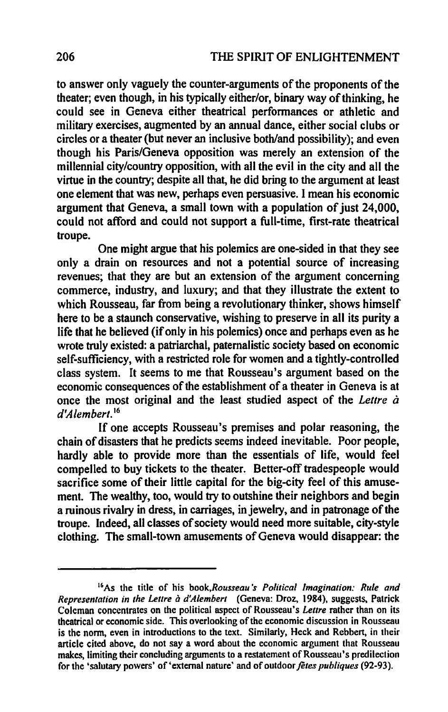to answer only vaguely the counter-arguments of the proponents of the theater; even though, in his typically either/or, binary way of thinking, he could see in Geneva either theatrical performances or athletic and military exercises, augmented by an annual dance, either social clubs or circles or a theater (but never an inclusive both/and possibility); and even though his Paris/Geneva opposition was merely an extension of the millennial city/country opposition, with all the evil in the city and all the virtue in the country; despite all that, he did bring to the argument at least one element that was new, perhaps even persuasive. I mean his economic argument that Geneva, a small town with a population of just 24,000, could not afford and could not support a full-time, first-rate theatrical troupe.

One might argue that his polemics are one-sided in that they see only a drain on resources and not a potential source of increasing revenues; that they are but an extension of the argument concerning commerce, industry, and luxury; and that they illustrate the extent to which Rousseau, far from being a revolutionary thinker, shows himself here to be a staunch conservative, wishing to preserve in all its purity a life that he believed (if only in his polemics) once and perhaps even as he wrote truly existed: a patriarchal, paternalistic society based on economic self-sufficiency, with a restricted role for women and a tightly-controlled class system. It seems to me that Rousseau's argument based on the economic consequences of the establishment of a theater in Geneva is at once the most original and the least studied aspect of the *Leltre a d'Alemberl.* <sup>16</sup>

If one accepts Rousseau's premises and polar reasoning, the chain of disasters that he predicts seems indeed inevitable. Poor people, hardly able to provide more than the essentials of life, would feel compelled to buy tickets to the theater. Better-off tradespeople would sacrifice some of their little capital for the big-city feel of this amusement. The wealthy, too, would try to outshine their neighbors and begin a ruinous rivalry in dress, in carriages, in jewelry, and in patronage of the troupe. Indeed, all classes of society would need more suitable, city-style clothing. The small-town amusements of Geneva would disappear: the

<sup>16</sup>As the title of his *book,Rousseau·s Political Imagination: Rule and Representation in the Lettre a d'Alemberl* (Geneva: Droz, 1984), suggests, Patrick Coleman concentrates on the political aspect of Rousseau's *Lettre* rather than on its theatrical or economic side. This overlooking of the economic discussion in Rousseau is the norm, even in introductions to the text. Similarly, Heck and Rebbert, in their article cited above, do not say a word about the economic argument that Rousseau makes,limiting their concluding arguments to a restatement of Rousseau's predilection for the 'salutary powers' of 'external nature' and of outdoor *fetes publiques* (92-93).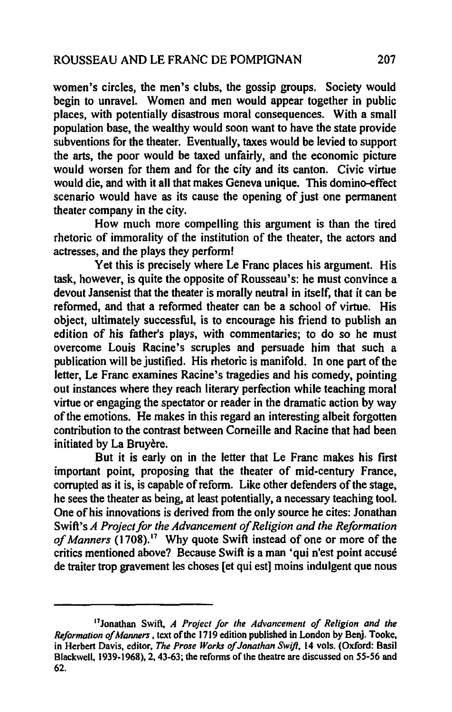women's circles, the men's clubs, the gossip groups. Society would begin to unravel. Women and men would appear together in public places, with potentially disastrous moral consequences. With a small population base, the wealthy would soon want to have the state provide subventions for the theater. Eventually, taxes would be levied to support the arts, the poor would be taxed unfairly, and the economic picture would worsen for them and for the city and its canton. Civic virtue would die, and with it all that makes Geneva unique. This domino-effect scenario would have as its cause the opening of just one pennanent theater company in the city.

How much more compelling this argument is than the tired rhetoric of immorality of the institution of the theater, the actors and actresses, and the plays they perform!

Yet this is precisely where Le Franc places his argument. His task, however, is quite the opposite of Rousseau's: he must convince a devout Jansenist that the theater is morally neutral in itself, that it can be reformed, and that a reformed theater can be a school of virtue. His object, ultimately successful, is to encourage his friend to publish an edition of his father's plays, with commentaries; to do so he must overcome Louis Racine's scruples and persuade him that such a publication will be justified. His rhetoric is manifold. In one part of the letter, Le Franc examines Racine's tragedies and his comedy, pointing out instances where they reach literary perfection while teaching moral virtue or engaging the spectator or reader in the dramatic action by way of the emotions. He makes in this regard an interesting albeit forgotten contribution to the contrast between Comeille and Racine that had been initiated by La Bruyère.

But it is early on in the letter that Le Franc makes his first important point, proposing that the theater of mid-century France, corrupted as it is, is capable of reform. Like other defenders of the stage, he sees the theater as being, at least potentially, a necessary teaching tool. One of his innovations is derived from the only source he cites: Jonathan Swift's *A Project for the Advancement of Religion and the Reformation* of Manners (1708).<sup>17</sup> Why quote Swift instead of one or more of the critics mentioned above? Because Swift is a man 'qui n'est point accuse de traiter trop gravement les choses [et qui est] moins indulgent que nous

I1Jonathan Swift, *A Project for the Advancement of Religion and the Reformation of Manners*, text of the 1719 edition published in London by Benj. Tooke, in Herbert Davis, editor, *The Prose Works of Jonathan Swift,* 14 vols. (Oxford: Basil Blackwell, 1939-1968), 2, 43-63; the reforms of the theatre are discussed on 55-56 and 62.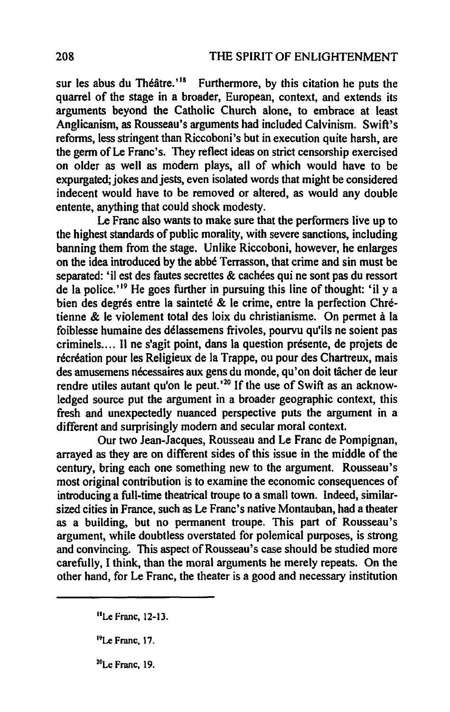sur les abus du Théâtre.<sup>'18</sup> Furthermore, by this citation he puts the quarrel of the stage in a broader, European, context, and extends its arguments beyond the Catholic Church alone, to embrace at least Anglicanism, as Rousseau's arguments had included Calvinism. Swift's reforms, less stringent than Riccoboni's but in execution quite harsh, are the germ ofLe Franc's. They reflect ideas on strict censorship exercised on older as well as modem plays, all of which would have to be expurgated; jokes and jests, even isolated words that might be considered indecent would have to be removed or altered, as would any double entente, anything that could shock modesty.

Le Franc also wants to make sure that the performers live up to the highest standards of public morality, with severe sanctions, including banning them from the stage. Unlike Riccoboni, however, he enlarges on the idea introduced by the abbe Terrasson, that crime and sin must be separated: 'i1 est des fautes secrettes & cachees qui ne sont pas du ressort de la police.'<sup>19</sup> He goes further in pursuing this line of thought: 'il y a bien des degrés entre la sainteté & le crime, entre la perfection Chrétienne & Ie violement total des loix du christianisme. On pennet a la foiblesse humaine des délassemens frivoles, pourvu qu'ils ne soient pas criminels .... Il ne s'agit point, dans la question presente, de projets de récréation pour les Religieux de la Trappe, ou pour des Chartreux, mais des amusemens nécessaires aux gens du monde, qu'on doit tâcher de leur rendre utiles autant qu'on le peut.<sup>20</sup> If the use of Swift as an acknowledged source put the argument in a broader geographic context, this fresh and unexpectedly nuanced perspective puts the argument in a different and surprisingly modem and secular moral context.

Our two Jean-Jacques, Rousseau and Le Franc de Pompignan, arrayed as they are on different sides of this issue in the middle of the century, bring each one something new to the argument. Rousseau's most original contribution is to examine the economic consequences of introducing a full-time theatrical troupe to a small town. Indeed, similarsized cities in France, such as Le Franc's native Montauban, had a theater as a building, but no permanent troupe. This part of Rousseau's argument, while doubtless overstated for polemical purposes, is strong and convincing. This aspect of Rousseau's case should be studied more carefully, I think, than the moral arguments he merely repeats. On the other hand, for Le Franc, the theater is a good and necessary institution

<sup>&</sup>quot;Le Franc, 12-13.

<sup>19</sup>Le Franc, 17.